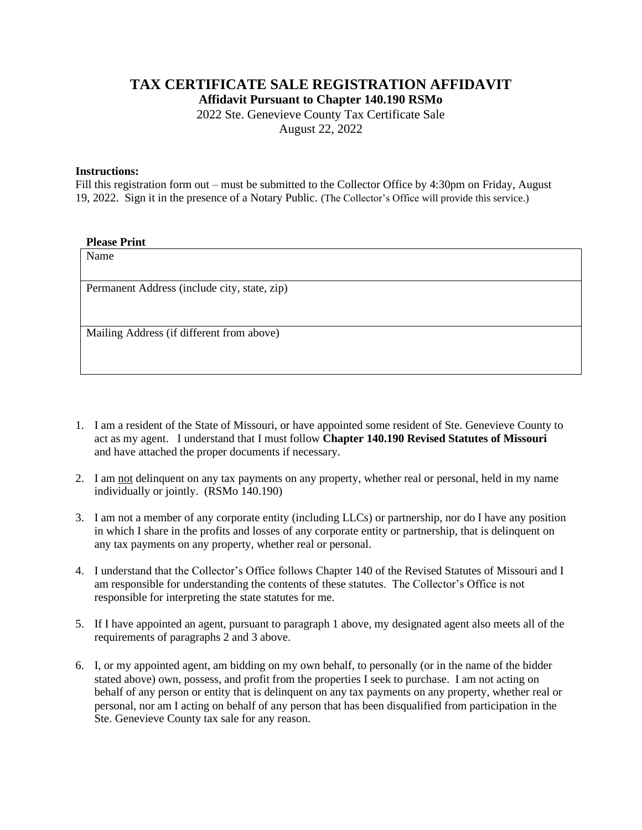## **TAX CERTIFICATE SALE REGISTRATION AFFIDAVIT**

**Affidavit Pursuant to Chapter 140.190 RSMo**

2022 Ste. Genevieve County Tax Certificate Sale August 22, 2022

## **Instructions:**

Fill this registration form out – must be submitted to the Collector Office by 4:30pm on Friday, August 19, 2022. Sign it in the presence of a Notary Public. (The Collector's Office will provide this service.)

## **Please Print**

| Name                                         |
|----------------------------------------------|
| Permanent Address (include city, state, zip) |
|                                              |
|                                              |
| Mailing Address (if different from above)    |
|                                              |

- 1. I am a resident of the State of Missouri, or have appointed some resident of Ste. Genevieve County to act as my agent. I understand that I must follow **Chapter 140.190 Revised Statutes of Missouri**  and have attached the proper documents if necessary.
- 2. I am not delinquent on any tax payments on any property, whether real or personal, held in my name individually or jointly. (RSMo 140.190)
- 3. I am not a member of any corporate entity (including LLCs) or partnership, nor do I have any position in which I share in the profits and losses of any corporate entity or partnership, that is delinquent on any tax payments on any property, whether real or personal.
- 4. I understand that the Collector's Office follows Chapter 140 of the Revised Statutes of Missouri and I am responsible for understanding the contents of these statutes. The Collector's Office is not responsible for interpreting the state statutes for me.
- 5. If I have appointed an agent, pursuant to paragraph 1 above, my designated agent also meets all of the requirements of paragraphs 2 and 3 above.
- 6. I, or my appointed agent, am bidding on my own behalf, to personally (or in the name of the bidder stated above) own, possess, and profit from the properties I seek to purchase. I am not acting on behalf of any person or entity that is delinquent on any tax payments on any property, whether real or personal, nor am I acting on behalf of any person that has been disqualified from participation in the Ste. Genevieve County tax sale for any reason.